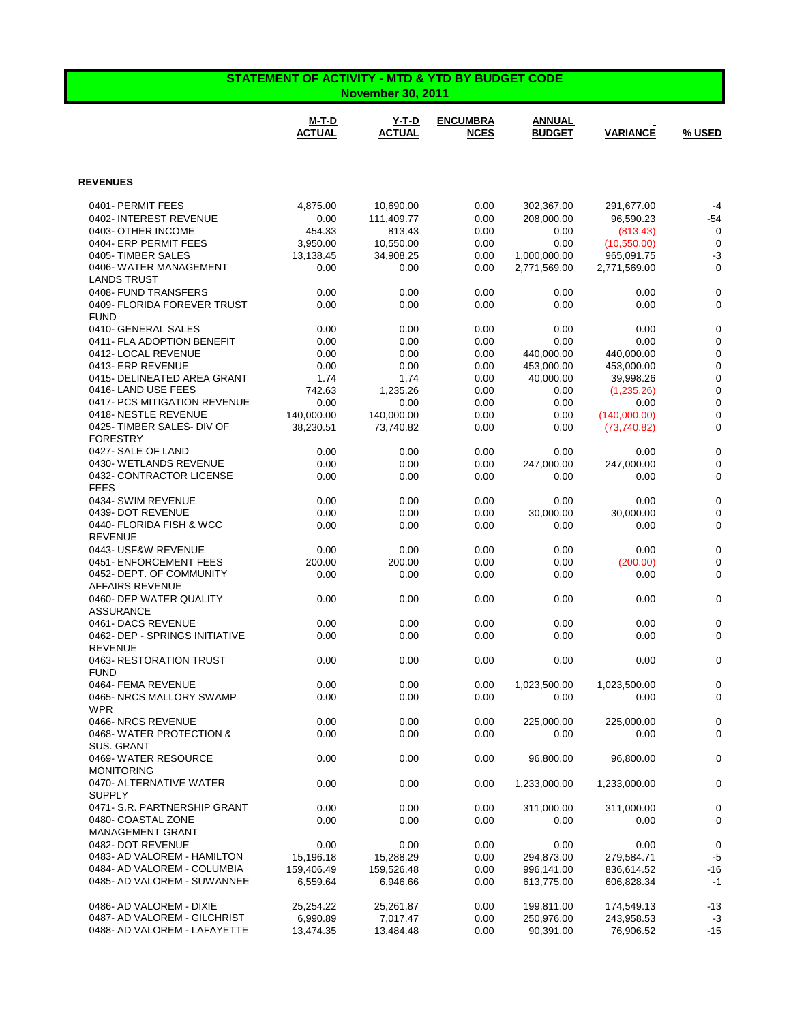| <b>STATEMENT OF ACTIVITY - MTD &amp; YTD BY BUDGET CODE</b><br><b>November 30, 2011</b> |                         |                         |                                |                                |                             |                                 |
|-----------------------------------------------------------------------------------------|-------------------------|-------------------------|--------------------------------|--------------------------------|-----------------------------|---------------------------------|
|                                                                                         | M-T-D<br><b>ACTUAL</b>  | Y-T-D<br><b>ACTUAL</b>  | <b>ENCUMBRA</b><br><b>NCES</b> | <b>ANNUAL</b><br><b>BUDGET</b> | <b>VARIANCE</b>             | % USED                          |
| <b>REVENUES</b>                                                                         |                         |                         |                                |                                |                             |                                 |
| 0401- PERMIT FEES                                                                       | 4.875.00                | 10,690.00               | 0.00                           | 302,367.00                     | 291,677.00                  | $-4$                            |
| 0402- INTEREST REVENUE                                                                  | 0.00                    | 111,409.77              | 0.00                           | 208.000.00                     | 96,590.23                   | $-54$                           |
| 0403- OTHER INCOME                                                                      | 454.33                  | 813.43                  | 0.00                           | 0.00                           | (813.43)                    | $\mathbf 0$                     |
| 0404- ERP PERMIT FEES                                                                   | 3,950.00                | 10,550.00               | 0.00                           | 0.00                           | (10,550.00)                 | $\mathbf 0$                     |
| 0405-TIMBER SALES                                                                       | 13,138.45               | 34,908.25               | 0.00                           | 1,000,000.00                   | 965,091.75                  | $-3$                            |
| 0406-WATER MANAGEMENT                                                                   | 0.00                    | 0.00                    | 0.00                           | 2,771,569.00                   | 2,771,569.00                | 0                               |
| <b>LANDS TRUST</b><br>0408- FUND TRANSFERS                                              | 0.00                    | 0.00                    | 0.00                           | 0.00                           | 0.00                        | 0                               |
| 0409- FLORIDA FOREVER TRUST                                                             | 0.00                    | 0.00                    | 0.00                           | 0.00                           | 0.00                        | 0                               |
| <b>FUND</b>                                                                             |                         |                         |                                |                                |                             |                                 |
| 0410- GENERAL SALES                                                                     | 0.00                    | 0.00                    | 0.00                           | 0.00                           | 0.00                        | $\boldsymbol{0}$                |
| 0411- FLA ADOPTION BENEFIT                                                              | 0.00                    | 0.00                    | 0.00                           | 0.00                           | 0.00                        | 0                               |
| 0412- LOCAL REVENUE                                                                     | 0.00                    | 0.00                    | 0.00                           | 440,000.00                     | 440,000.00                  | $\boldsymbol{0}$                |
| 0413- ERP REVENUE                                                                       | 0.00                    | 0.00                    | 0.00                           | 453,000.00                     | 453,000.00                  | $\boldsymbol{0}$                |
| 0415- DELINEATED AREA GRANT                                                             | 1.74                    | 1.74                    | 0.00                           | 40,000.00                      | 39,998.26                   | $\boldsymbol{0}$                |
| 0416-LAND USE FEES                                                                      | 742.63                  | 1,235.26                | 0.00                           | 0.00                           | (1,235.26)                  | $\boldsymbol{0}$                |
| 0417- PCS MITIGATION REVENUE<br>0418-NESTLE REVENUE                                     | 0.00                    | 0.00                    | 0.00                           | 0.00                           | 0.00                        | $\boldsymbol{0}$                |
| 0425- TIMBER SALES- DIV OF                                                              | 140,000.00<br>38,230.51 | 140,000.00<br>73,740.82 | 0.00<br>0.00                   | 0.00<br>0.00                   | (140,000.00)<br>(73,740.82) | $\boldsymbol{0}$<br>$\mathbf 0$ |
| <b>FORESTRY</b>                                                                         |                         |                         |                                |                                |                             |                                 |
| 0427- SALE OF LAND                                                                      | 0.00                    | 0.00                    | 0.00                           | 0.00                           | 0.00                        | 0                               |
| 0430- WETLANDS REVENUE                                                                  | 0.00                    | 0.00                    | 0.00                           | 247,000.00                     | 247,000.00                  | 0                               |
| 0432- CONTRACTOR LICENSE                                                                | 0.00                    | 0.00                    | 0.00                           | 0.00                           | 0.00                        | 0                               |
| <b>FEES</b>                                                                             |                         |                         |                                |                                |                             |                                 |
| 0434- SWIM REVENUE                                                                      | 0.00                    | 0.00                    | 0.00                           | 0.00                           | 0.00                        | $\pmb{0}$                       |
| 0439- DOT REVENUE                                                                       | 0.00                    | 0.00                    | 0.00                           | 30,000.00                      | 30,000.00                   | 0                               |
| 0440- FLORIDA FISH & WCC                                                                | 0.00                    | 0.00                    | 0.00                           | 0.00                           | 0.00                        | 0                               |
| <b>REVENUE</b><br>0443- USF&W REVENUE                                                   | 0.00                    | 0.00                    | 0.00                           | 0.00                           | 0.00                        | 0                               |
| 0451- ENFORCEMENT FEES                                                                  | 200.00                  | 200.00                  | 0.00                           | 0.00                           | (200.00)                    | 0                               |
| 0452- DEPT. OF COMMUNITY                                                                | 0.00                    | 0.00                    | 0.00                           | 0.00                           | 0.00                        | 0                               |
| <b>AFFAIRS REVENUE</b>                                                                  |                         |                         |                                |                                |                             |                                 |
| 0460- DEP WATER QUALITY                                                                 | 0.00                    | 0.00                    | 0.00                           | 0.00                           | 0.00                        | 0                               |
| <b>ASSURANCE</b>                                                                        |                         |                         |                                |                                |                             |                                 |
| 0461-DACS REVENUE                                                                       | 0.00                    | 0.00                    | 0.00                           | 0.00                           | 0.00                        | 0                               |
| 0462- DEP - SPRINGS INITIATIVE                                                          | 0.00                    | 0.00                    | 0.00                           | 0.00                           | 0.00                        | $\mathbf 0$                     |
| REVENUE                                                                                 |                         |                         |                                |                                |                             |                                 |
| 0463-RESTORATION TRUST<br><b>FUND</b>                                                   | 0.00                    | 0.00                    | 0.00                           | 0.00                           | 0.00                        | 0                               |
| 0464- FEMA REVENUE                                                                      | 0.00                    | 0.00                    | 0.00                           | 1,023,500.00                   | 1,023,500.00                | 0                               |
| 0465-NRCS MALLORY SWAMP                                                                 | 0.00                    | 0.00                    | 0.00                           | 0.00                           | 0.00                        | 0                               |
| <b>WPR</b>                                                                              |                         |                         |                                |                                |                             |                                 |
| 0466- NRCS REVENUE                                                                      | 0.00                    | 0.00                    | 0.00                           | 225,000.00                     | 225,000.00                  | 0                               |
| 0468-WATER PROTECTION &                                                                 | 0.00                    | 0.00                    | 0.00                           | 0.00                           | 0.00                        | 0                               |
| SUS. GRANT                                                                              |                         |                         |                                |                                |                             |                                 |
| 0469- WATER RESOURCE<br><b>MONITORING</b>                                               | 0.00                    | 0.00                    | 0.00                           | 96,800.00                      | 96,800.00                   | $\pmb{0}$                       |
| 0470- ALTERNATIVE WATER                                                                 | 0.00                    | 0.00                    | 0.00                           | 1,233,000.00                   | 1,233,000.00                | 0                               |
| <b>SUPPLY</b>                                                                           |                         |                         |                                |                                |                             |                                 |
| 0471- S.R. PARTNERSHIP GRANT                                                            | 0.00                    | 0.00                    | 0.00                           | 311,000.00                     | 311,000.00                  | 0                               |
| 0480- COASTAL ZONE                                                                      | 0.00                    | 0.00                    | 0.00                           | 0.00                           | 0.00                        | $\pmb{0}$                       |
| MANAGEMENT GRANT                                                                        |                         |                         |                                |                                |                             |                                 |
| 0482- DOT REVENUE                                                                       | 0.00                    | 0.00                    | 0.00                           | 0.00                           | 0.00                        | $\pmb{0}$                       |
| 0483- AD VALOREM - HAMILTON                                                             | 15,196.18               | 15,288.29               | 0.00                           | 294,873.00                     | 279,584.71                  | $-5$                            |
| 0484- AD VALOREM - COLUMBIA                                                             | 159,406.49              | 159,526.48              | 0.00                           | 996,141.00                     | 836,614.52                  | $-16$                           |
| 0485- AD VALOREM - SUWANNEE                                                             | 6,559.64                | 6,946.66                | 0.00                           | 613,775.00                     | 606,828.34                  | $-1$                            |
| 0486- AD VALOREM - DIXIE                                                                | 25,254.22               | 25,261.87               | 0.00                           | 199,811.00                     | 174,549.13                  | $-13$                           |
| 0487- AD VALOREM - GILCHRIST                                                            | 6,990.89                | 7,017.47                | 0.00                           | 250,976.00                     | 243,958.53                  | $-3$                            |
| 0488- AD VALOREM - LAFAYETTE                                                            | 13,474.35               | 13,484.48               | 0.00                           | 90,391.00                      | 76,906.52                   | $-15$                           |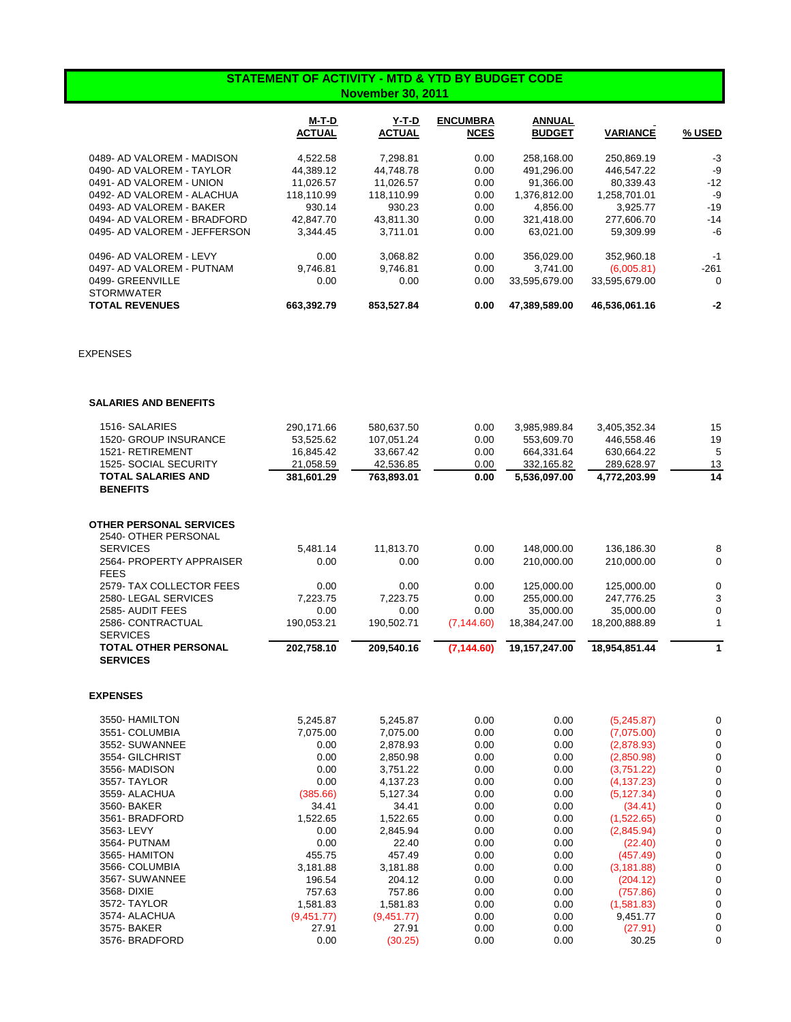## **STATEMENT OF ACTIVITY - MTD & YTD BY BUDGET CODE November 30, 2011**

|                              | M-T-D<br><b>ACTUAL</b> | Y-T-D<br><b>ACTUAL</b> | <b>ENCUMBRA</b><br><b>NCES</b> | <b>ANNUAL</b><br><b>BUDGET</b> | <b>VARIANCE</b> | % USED |
|------------------------------|------------------------|------------------------|--------------------------------|--------------------------------|-----------------|--------|
| 0489- AD VALOREM - MADISON   | 4.522.58               | 7.298.81               | 0.00                           | 258.168.00                     | 250.869.19      | $-3$   |
| 0490- AD VALOREM - TAYLOR    | 44.389.12              | 44.748.78              | 0.00                           | 491.296.00                     | 446.547.22      | -9     |
| 0491- AD VALOREM - UNION     | 11.026.57              | 11,026.57              | 0.00                           | 91,366.00                      | 80,339.43       | $-12$  |
| 0492- AD VALOREM - ALACHUA   | 118.110.99             | 118,110.99             | 0.00                           | 1,376,812.00                   | 1.258.701.01    | -9     |
| 0493- AD VALOREM - BAKER     | 930.14                 | 930.23                 | 0.00                           | 4.856.00                       | 3.925.77        | $-19$  |
| 0494- AD VALOREM - BRADFORD  | 42.847.70              | 43.811.30              | 0.00                           | 321.418.00                     | 277.606.70      | $-14$  |
| 0495- AD VALOREM - JEFFERSON | 3.344.45               | 3.711.01               | 0.00                           | 63.021.00                      | 59,309.99       | -6     |
| 0496- AD VALOREM - LEVY      | 0.00                   | 3.068.82               | 0.00                           | 356.029.00                     | 352.960.18      | -1     |
| 0497- AD VALOREM - PUTNAM    | 9.746.81               | 9.746.81               | 0.00                           | 3.741.00                       | (6,005.81)      | $-261$ |
| 0499- GREENVILLE             | 0.00                   | 0.00                   | 0.00                           | 33.595.679.00                  | 33,595,679.00   | 0      |
| <b>STORMWATER</b>            |                        |                        |                                |                                |                 |        |
| <b>TOTAL REVENUES</b>        | 663.392.79             | 853.527.84             | 0.00                           | 47.389.589.00                  | 46,536,061.16   | $-2$   |

EXPENSES

| 1516- SALARIES                 | 290,171.66 | 580,637.50 | 0.00        | 3,985,989.84  | 3,405,352.34  | 15          |
|--------------------------------|------------|------------|-------------|---------------|---------------|-------------|
| <b>1520- GROUP INSURANCE</b>   | 53,525.62  | 107,051.24 | 0.00        | 553,609.70    | 446,558.46    | 19          |
| 1521-RETIREMENT                | 16,845.42  | 33,667.42  | 0.00        | 664,331.64    | 630,664.22    | 5           |
| 1525- SOCIAL SECURITY          | 21,058.59  | 42,536.85  | 0.00        | 332,165.82    | 289,628.97    | 13          |
| <b>TOTAL SALARIES AND</b>      | 381,601.29 | 763,893.01 | 0.00        | 5,536,097.00  | 4,772,203.99  | 14          |
| <b>BENEFITS</b>                |            |            |             |               |               |             |
| <b>OTHER PERSONAL SERVICES</b> |            |            |             |               |               |             |
| 2540- OTHER PERSONAL           |            |            |             |               |               |             |
| <b>SERVICES</b>                | 5,481.14   | 11,813.70  | 0.00        | 148,000.00    | 136,186.30    | 8           |
| 2564- PROPERTY APPRAISER       | 0.00       | 0.00       | 0.00        | 210,000.00    | 210,000.00    | $\mathbf 0$ |
| <b>FEES</b>                    |            |            |             |               |               |             |
| 2579- TAX COLLECTOR FEES       | 0.00       | 0.00       | 0.00        | 125,000.00    | 125,000.00    | $\mathbf 0$ |
| 2580-LEGAL SERVICES            | 7.223.75   | 7.223.75   | 0.00        | 255,000.00    | 247,776.25    | 3           |
| 2585- AUDIT FEES               | 0.00       | 0.00       | 0.00        | 35,000.00     | 35,000.00     | 0           |
| 2586- CONTRACTUAL              | 190,053.21 | 190,502.71 | (7, 144.60) | 18.384.247.00 | 18.200.888.89 |             |
| <b>SERVICES</b>                |            |            |             |               |               |             |
| <b>TOTAL OTHER PERSONAL</b>    | 202,758.10 | 209,540.16 | (7, 144.60) | 19,157,247.00 | 18,954,851.44 |             |
| <b>SERVICES</b>                |            |            |             |               |               |             |
|                                |            |            |             |               |               |             |

## **EXPENSES**

| 3550- HAMILTON  | 5,245.87   | 5,245.87   | 0.00 | 0.00 | (5,245.87)  |  |
|-----------------|------------|------------|------|------|-------------|--|
| 3551- COLUMBIA  | 7,075.00   | 7,075.00   | 0.00 | 0.00 | (7,075.00)  |  |
| 3552- SUWANNEE  | 0.00       | 2,878.93   | 0.00 | 0.00 | (2,878.93)  |  |
| 3554- GILCHRIST | 0.00       | 2,850.98   | 0.00 | 0.00 | (2,850.98)  |  |
| 3556- MADISON   | 0.00       | 3,751.22   | 0.00 | 0.00 | (3,751.22)  |  |
| 3557- TAYLOR    | 0.00       | 4.137.23   | 0.00 | 0.00 | (4, 137.23) |  |
| 3559- ALACHUA   | (385.66)   | 5,127.34   | 0.00 | 0.00 | (5, 127.34) |  |
| 3560- BAKER     | 34.41      | 34.41      | 0.00 | 0.00 | (34.41)     |  |
| 3561- BRADFORD  | 1,522.65   | 1,522.65   | 0.00 | 0.00 | (1,522.65)  |  |
| 3563-LEVY       | 0.00       | 2,845.94   | 0.00 | 0.00 | (2,845.94)  |  |
| 3564- PUTNAM    | 0.00       | 22.40      | 0.00 | 0.00 | (22.40)     |  |
| 3565- HAMITON   | 455.75     | 457.49     | 0.00 | 0.00 | (457.49)    |  |
| 3566- COLUMBIA  | 3.181.88   | 3,181.88   | 0.00 | 0.00 | (3, 181.88) |  |
| 3567- SUWANNEE  | 196.54     | 204.12     | 0.00 | 0.00 | (204.12)    |  |
| 3568- DIXIE     | 757.63     | 757.86     | 0.00 | 0.00 | (757.86)    |  |
| 3572- TAYLOR    | 1,581.83   | 1,581.83   | 0.00 | 0.00 | (1,581.83)  |  |
| 3574- ALACHUA   | (9,451.77) | (9,451.77) | 0.00 | 0.00 | 9,451.77    |  |
| 3575- BAKER     | 27.91      | 27.91      | 0.00 | 0.00 | (27.91)     |  |
| 3576- BRADFORD  | 0.00       | (30.25)    | 0.00 | 0.00 | 30.25       |  |
|                 |            |            |      |      |             |  |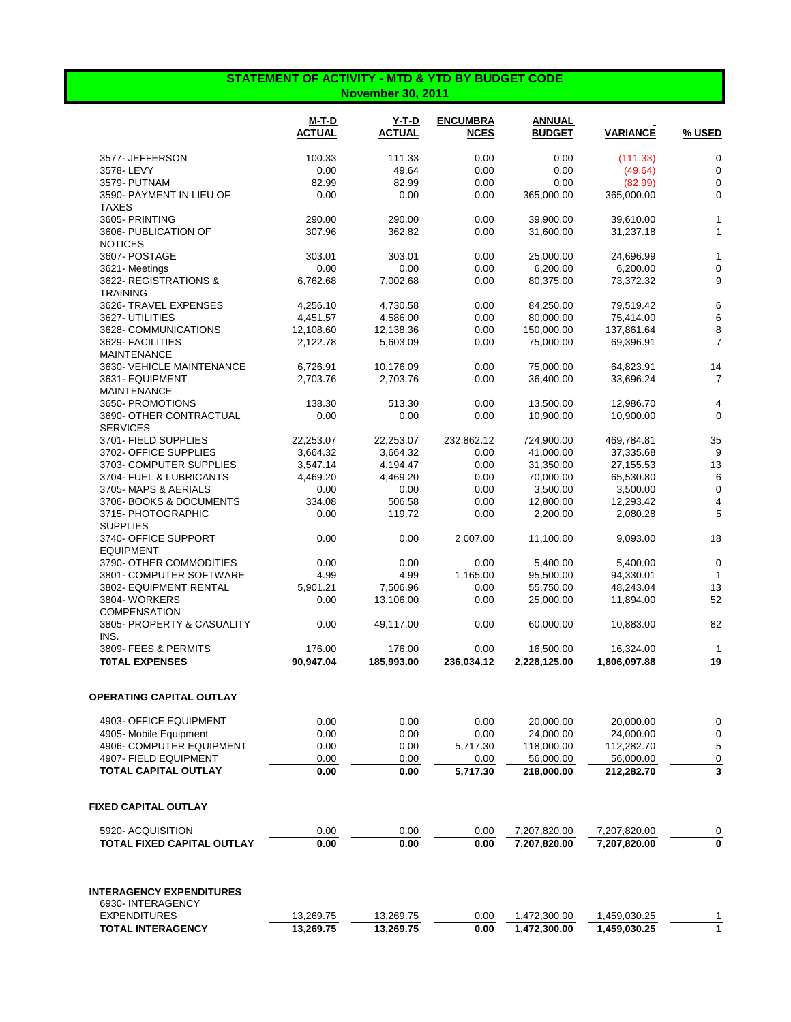## **STATEMENT OF ACTIVITY - MTD & YTD BY BUDGET CODE November 30, 2011**

|                                            | $M-T-D$<br><b>ACTUAL</b> | Y-T-D<br><b>ACTUAL</b> | <b>ENCUMBRA</b><br><b>NCES</b> | ANNUAL<br><b>BUDGET</b> | <b>VARIANCE</b> | % USED         |
|--------------------------------------------|--------------------------|------------------------|--------------------------------|-------------------------|-----------------|----------------|
| 3577- JEFFERSON                            | 100.33                   | 111.33                 | 0.00                           | 0.00                    | (111.33)        | $\mathbf 0$    |
| 3578-LEVY                                  | 0.00                     | 49.64                  | 0.00                           | 0.00                    | (49.64)         | $\mathbf 0$    |
| 3579- PUTNAM                               | 82.99                    | 82.99                  | 0.00                           | 0.00                    | (82.99)         | $\mathbf 0$    |
| 3590- PAYMENT IN LIEU OF<br>TAXES          | 0.00                     | 0.00                   | 0.00                           | 365,000.00              | 365,000.00      | 0              |
| 3605- PRINTING                             | 290.00                   | 290.00                 | 0.00                           | 39,900.00               | 39,610.00       | 1              |
| 3606- PUBLICATION OF<br><b>NOTICES</b>     | 307.96                   | 362.82                 | 0.00                           | 31,600.00               | 31,237.18       | 1              |
| 3607- POSTAGE                              | 303.01                   | 303.01                 | 0.00                           | 25,000.00               | 24,696.99       | 1              |
| 3621-Meetings                              | 0.00                     | 0.00                   | 0.00                           | 6,200.00                | 6,200.00        | $\mathbf 0$    |
| 3622- REGISTRATIONS &<br><b>TRAINING</b>   | 6,762.68                 | 7,002.68               | 0.00                           | 80,375.00               | 73,372.32       | 9              |
| 3626- TRAVEL EXPENSES                      | 4,256.10                 | 4,730.58               | 0.00                           | 84,250.00               | 79,519.42       | 6              |
| 3627- UTILITIES                            | 4,451.57                 | 4,586.00               | 0.00                           | 80,000.00               | 75,414.00       | 6              |
| 3628- COMMUNICATIONS                       | 12,108.60                | 12,138.36              | 0.00                           | 150,000.00              | 137,861.64      | 8              |
| 3629- FACILITIES<br><b>MAINTENANCE</b>     | 2,122.78                 | 5,603.09               | 0.00                           | 75,000.00               | 69,396.91       | $\overline{7}$ |
| 3630- VEHICLE MAINTENANCE                  | 6,726.91                 | 10,176.09              | 0.00                           | 75,000.00               | 64,823.91       | 14             |
| 3631- EQUIPMENT                            | 2,703.76                 | 2,703.76               | 0.00                           | 36,400.00               | 33,696.24       | $\overline{7}$ |
| <b>MAINTENANCE</b>                         |                          |                        |                                |                         |                 |                |
| 3650- PROMOTIONS                           | 138.30                   | 513.30                 | 0.00                           | 13,500.00               | 12,986.70       | 4              |
| 3690- OTHER CONTRACTUAL<br><b>SERVICES</b> | 0.00                     | 0.00                   | 0.00                           | 10,900.00               | 10,900.00       | $\mathbf 0$    |
| 3701- FIELD SUPPLIES                       | 22,253.07                | 22,253.07              | 232,862.12                     | 724,900.00              | 469,784.81      | 35             |
| 3702- OFFICE SUPPLIES                      | 3,664.32                 | 3,664.32               | 0.00                           | 41,000.00               | 37,335.68       | 9              |
| 3703- COMPUTER SUPPLIES                    | 3,547.14                 | 4,194.47               | 0.00                           | 31,350.00               | 27,155.53       | 13             |
| 3704- FUEL & LUBRICANTS                    | 4,469.20                 | 4,469.20               | 0.00                           | 70,000.00               | 65,530.80       | 6              |
| 3705-MAPS & AERIALS                        | 0.00                     | 0.00                   | 0.00                           | 3,500.00                | 3,500.00        | 0              |
| 3706- BOOKS & DOCUMENTS                    | 334.08                   | 506.58                 | 0.00                           | 12,800.00               | 12,293.42       | $\overline{4}$ |
| 3715- PHOTOGRAPHIC<br><b>SUPPLIES</b>      | 0.00                     | 119.72                 | 0.00                           | 2,200.00                | 2,080.28        | 5              |
| 3740- OFFICE SUPPORT<br><b>EQUIPMENT</b>   | 0.00                     | 0.00                   | 2,007.00                       | 11,100.00               | 9,093.00        | 18             |
| 3790- OTHER COMMODITIES                    | 0.00                     | 0.00                   | 0.00                           | 5,400.00                | 5,400.00        | $\mathbf 0$    |
| 3801- COMPUTER SOFTWARE                    | 4.99                     | 4.99                   | 1,165.00                       | 95,500.00               | 94,330.01       | $\mathbf 1$    |
| 3802- EQUIPMENT RENTAL                     | 5,901.21                 | 7,506.96               | 0.00                           | 55,750.00               | 48,243.04       | 13             |
| 3804-WORKERS                               | 0.00                     | 13,106.00              | 0.00                           | 25,000.00               | 11,894.00       | 52             |
| <b>COMPENSATION</b>                        |                          |                        |                                |                         |                 |                |
| 3805- PROPERTY & CASUALITY<br>INS.         | 0.00                     | 49,117.00              | 0.00                           | 60,000.00               | 10,883.00       | 82             |
| 3809- FEES & PERMITS                       | 176.00                   | 176.00                 | 0.00                           | 16,500.00               | 16,324.00       | 1              |
| <b>TOTAL EXPENSES</b>                      | 90,947.04                | 185,993.00             | 236,034.12                     | 2,228,125.00            | 1,806,097.88    | 19             |
| OPERATING CAPITAL OUTLAY                   |                          |                        |                                |                         |                 |                |
| 4903- OFFICE EQUIPMENT                     | 0.00                     | 0.00                   | 0.00                           | 20,000.00               | 20,000.00       | 0              |
| 4905- Mobile Equipment                     | 0.00                     | 0.00                   | 0.00                           | 24,000.00               | 24,000.00       | 0              |
| 4906- COMPUTER EQUIPMENT                   | 0.00                     | 0.00                   | 5,717.30                       | 118,000.00              | 112,282.70      | 5              |
| 4907- FIELD EQUIPMENT                      | 0.00                     | 0.00                   | 0.00                           | 56,000.00               | 56,000.00       | 0              |
| <b>TOTAL CAPITAL OUTLAY</b>                | 0.00                     | 0.00                   | 5,717.30                       | 218,000.00              | 212,282.70      | 3              |
| FIXED CAPITAL OUTLAY                       |                          |                        |                                |                         |                 |                |
| 5920- ACQUISITION                          | 0.00                     | 0.00                   | 0.00                           | 7,207,820.00            | 7,207,820.00    | 0              |
| <b>TOTAL FIXED CAPITAL OUTLAY</b>          | 0.00                     | 0.00                   | 0.00                           | 7,207,820.00            | 7,207,820.00    | $\Omega$       |
|                                            |                          |                        |                                |                         |                 |                |
| <b>INTERAGENCY EXPENDITURES</b>            |                          |                        |                                |                         |                 |                |
| 6930-INTERAGENCY                           |                          |                        |                                |                         |                 |                |
| <b>EXPENDITURES</b>                        | 13,269.75                | 13,269.75              | 0.00                           | 1,472,300.00            | 1,459,030.25    |                |
| <b>TOTAL INTERAGENCY</b>                   | 13,269.75                | 13,269.75              | 0.00                           | 1,472,300.00            | 1,459,030.25    | 1              |